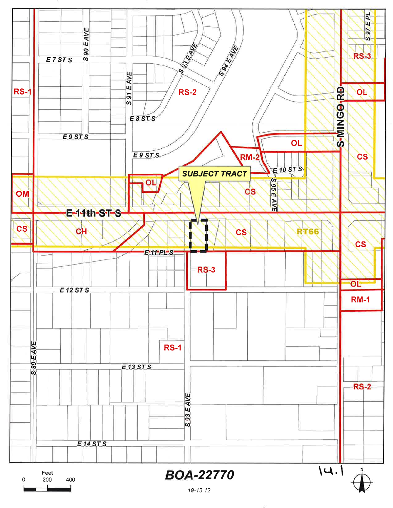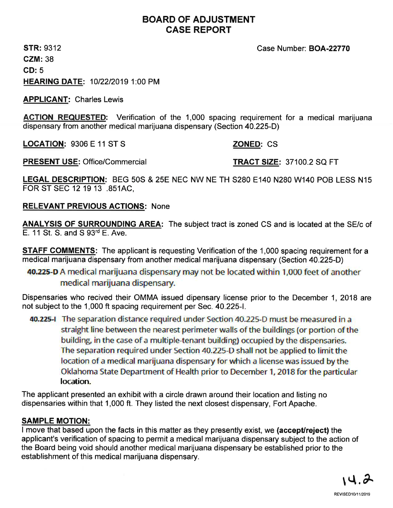# BOARD OF ADJUSTMENT CASE REPORT

STR: 9312 GZM: 38 GD: 5 HEARING DATE: 1012212019 1:00 PM

APPLICANT: Charles Lewis

ACTION REQUESTED: Verification of the 1,000 spacing requirement for a medical marijuana dispensary from another medical marijuana dispensary (Section 40.225-D)

LOCATION: 9306 E 11 ST S ZONED: CS

PRESENT USE: Office/Commercial TRACT SIZE: 37100.2 SQ FT

LEGAL DESCRIPTION: BEG 50S & 25E NEC NW NE TH S280 E140 N280 W140 POB LESS N15 FOR ST SEC 12 19 13 .851AC,

RELEVANT PREVIOUS ACTIONS: None

ANALYSIS OF SURROUNDING AREA: The subject tract is zoned CS and is located at the SE/c of E. 11St. S. and S 93'd E. Ave.

**STAFF COMMENTS:** The applicant is requesting Verification of the 1,000 spacing requirement for a medical marijuana dispensary from another medical marijuana dispensary (Section 40.225-D)

40.225-D A medical marijuana dispensary may not be located within 1,000 feet of another<br>... medical marijuana dispensary.

Dispensaries who recived their OMMA issued dipensary license prior to the December 1, 2018 are not subject to the 1,000 ft spacing requirement per Sec. 40.225-1.

40.225-I The separation distance required under Section 40.225-D must be measured in a straight line between the nearest perimeter walls of the buildings (or portion of the building, in the case of a multiple-tenant building) occupied by the dispensaries. The separation required under Section 40.225-D shall not be applied to limit the location of a medical marijuana dispensary for which a license was issued by the Oklahoma State Department of Health prior to December 1, 2018 for the particular location.

The applicant presented an exhibit with a circle drawn around their location and listing no dispensaries within that 1,000 ft. They listed the next closest dispensary, Fort Apache.

# SAMPLE MOTION:

I move that based upon the facts in this matter as they presently exist, we (accept/reject) the applicant's verification of spacing to permit a medical marijuana dispensary subject to the action of the Board being void should another medical marijuana dispensary be established prior to the establishment of this medical marijuana dispensary.

Case Number: BOA-22770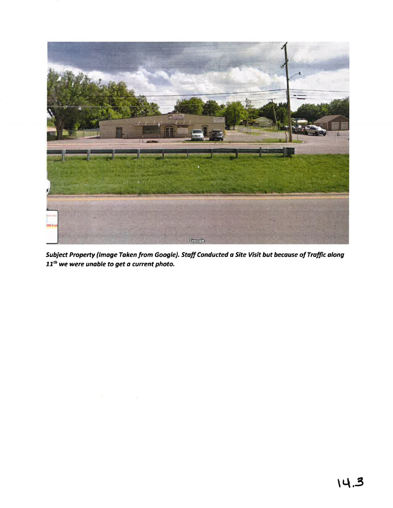

Subject Property (Image Taken from Google). Staff Conducted a Site Visit but because of Traffic along  $11^{th}$  we were unable to get a current photo.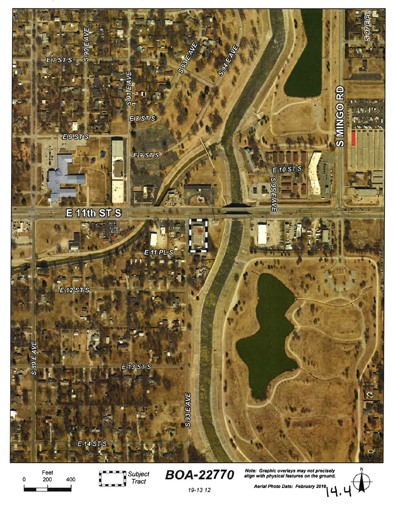

Feet<br>200  $\pmb{0}$ 400



Note: Graphic overlays may not precisely<br>align with physical features on the ground. **BOA-22770** 

19-13 12

n with physical.<br>Aerial Photo Date: February 2018<br>Let a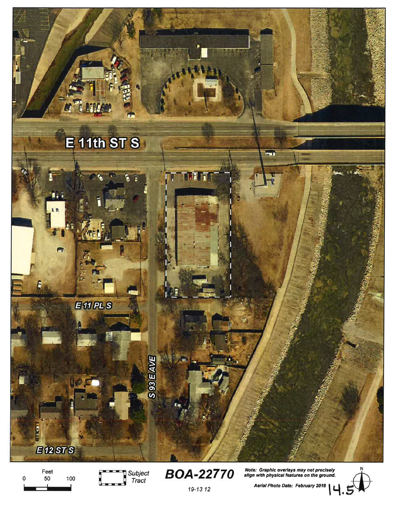

Feet 50 100  $\mathbf 0$ 



Note: Graphic overlays may not precisely<br>align with physical features on the ground. **BOA-22770** 



Aerial Photo Date: February 2018

19-13 12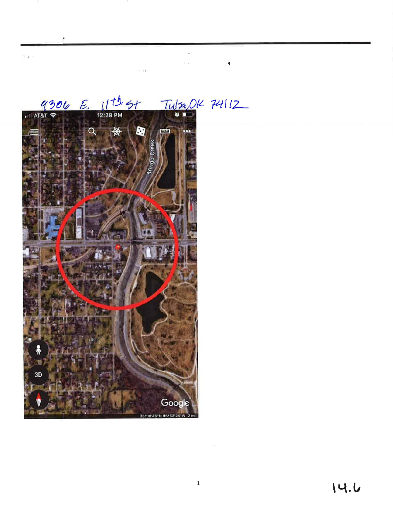

# $Tulzz,012$  74112

 $\sim$   $\sim$ 

 $\label{eq:1.1} \mathbb{E} \left[ \begin{array}{ccc} \mathbb{E} & \mathbb{E} & \mathbb{E} \left[ \mathbb{E} \left[ \mathbb{E} \left[ \mathbb{E} \left[ \mathbb{E} \left[ \mathbb{E} \left[ \mathbb{E} \left[ \mathbb{E} \left[ \mathbb{E} \left[ \mathbb{E} \left[ \mathbb{E} \left[ \mathbb{E} \left[ \mathbb{E} \left[ \mathbb{E} \left[ \mathbb{E} \left[ \mathbb{E} \left[ \mathbb{E} \left[ \mathbb{E} \left[ \mathbb{E} \left[ \mathbb{E} \left[ \$ 

ŕ

 $\epsilon$  .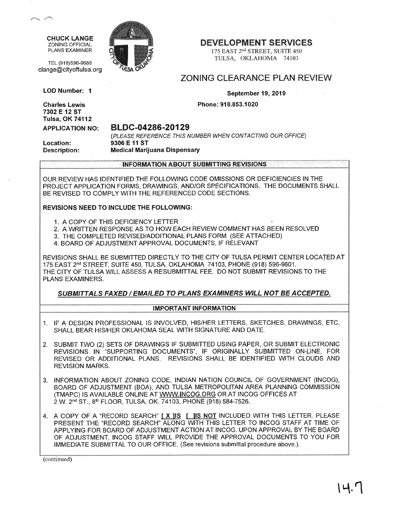CHUCK LANGE ZONING OFFICIAL PLANS EXAMINER

TEL (918)596-9688

LOD Number: I

Charles Lewis 7302 E 12 ST



### DEVELOPMENT SERVICES

175 EAST 2<sup>nd</sup> STREET, SUITE 450 TULSA, OKLAHOMA 74103

## ZONING CLEARANCE PLAN REVIEW

September 19, 2019

Phone: 918.853.1020

Tulsa, OK74112 APPLICATION NO:

#### BLDC-04286-20129

Location: Description:

(PLEASE REFERENCE THIS NUMBER WHEN CONTACTING OUR OFFICE) 9306 E 11 ST Medical Marijuana Dispensary

INFORMATION ABOUT SUBMITTING REVISIONS

OUR REVIEW HAS IDENTIFIED THE FOLLOWING CODE OMISSIONS OR DEFICIENCIES IN THE PROJECT APPLICATION FORMS, DRAWINGS, AND/OR SPECIFICATIONS. THE DOCUMENTS SHALL BE REVISED TO COMPLY WITH THE REFERENCED CODE SECTIONS.

#### REVISIONS NEED TO INCLUDE THE FOLLOWING:

- 1. A COPY OF THIS DEFICIENCY LETTER
- 2. A WRITTEN RESPONSE AS TO HOW EACH REVIEW COMMENT HAS BEEN RESOLVED
- 3. THE COMPLETED REVISED/ADDITIONAL PLANS FORM (SEE ATTACHED)
- 4. BOARD OF ADJUSTMENT APPROVAL DOCUMENTS, IF RELEVANT

REVISIONS SHALL BE SUBMITTED DIRECTLY TO THE CITY OF TULSA PERMIT CENTER LOCATED AT 175 EAST 2<sup>nd</sup> STREET, SUITE 450, TULSA, OKLAHOMA 74103, PHONE (918) 596-9601. THE CITY OF TULSA WILL ASSESS A RESUBMITTAL FEE. DO NOT SUBMIT REVISIONS TO THE PLANS EXAMINERS.

#### SUBMITTALS FAXED / EMAILED TO PLANS EXAMINERS WILL NOT BE ACCEPTED.

#### IMPORTANT INFORMATION

- 1. IF A DESIGN PROFESSIONAL IS INVOLVED, HIS/HER LETTERS, SKETCHES, DRAWINGS, ETC SHALL BEAR HIS/HER OKLAHOMA SEAL WITH SIGNATURE AND DATE.
- 2. SUBMIT TWO (2) SETS OF DRAWINGS IF SUBMITTED USING PAPER, OR SUBMIT ELECTRONIC REVISIONS IN 'SUPPORTING DOCUMENTS", IF ORIGINALLY SUBMITTED ON-LINE, FOR REVISED OR ADDITIONAL PLANS. REVISIONS SHALL BE IDENTIFIED WTH CLOUDS AND REVISION MARKS.
- 3. INFORMATION ABOUT ZONING CODE, INDIAN NATION COUNCIL OF GOVERNMENT (INCOG), BOARD OF ADJUSTMENT (BOA), AND TULSA METROPOLITAN AREA PLANNING COMMISSION (TMAPC) IS AVAILABLE ONLINE AT WWW.INCOG.ORG OR AT INCOG OFFICES AT 2 W. 2<sup>nd</sup> ST., 8<sup>th</sup> FLOOR, TULSA, OK, 74103, PHONE (918) 584-7526.
- 4. A COPY OF A "RECORD SEARCH" [X ]IS [ ]IS NOT INCLUDED WITH THIS LETTER. PLEASE PRESENT THE "RECORD SEARCH" ALONG WITH THIS LETTER TO INCOG STAFF AT TIME OF APPLYING FOR BOARD OF ADJUSTMENT ACTION AT INCOG. UPON APPROVAL BY THE BOARD OF ADJUSTMENT, INCOG STAFF WILL PROVIDE THE APPROVAL DOCUMENTS TO YOU FOR IMMEDIATE SUBMITTAL TO OUR OFFICE. (See revisions submittal procedure above.).

(continued)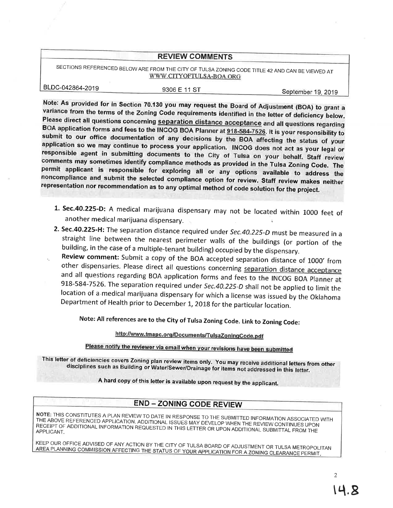#### REVIEW COMMENTS

SECTIONS REFERENCED BELOWARE FROM THE CITY OF TULSA ZONING CODE TITLE 42 AND CAN BE VIEWED AT WWW.CITYOFTULSA-BOA.ORG

BLDC-042864-2019

9306 E 11 ST September 19, 2019

Note: As provided for in Section 70.130 you may request the Board of Adjustment (BoA) to grant <sup>a</sup> Please direct all questions concerning <u>separation distance acceptance</u> and all questions regarding<br>BOA application forms and fees to the INCOG BOA Planner at 918-584-7526. It is your responsibility to submit to our office documentation of any decisions by the BOA affecting the status of your<br>application so we may continue to process your application. INCOG does not act as your legal or responsible agent in submitting documents to the City of Tulsa on your behalf. Staff review<br>comments may sometimes identify compliance methods as provided in the Tulsa Zoning Code. The<br>permit applicant is responsible for e

- 1. Sec.40.225-D: A medical marijuana dispensary may not be located within 1000 feet of another medical marijuana dispensary.
- 2. Sec.40.225-H: The separation distance required under Sec.40.225-D must be measured in a straight line between the nearest perimeter walls of the buildings (or portion of the building, in the case of a multiple-tenant building) occupied by the dispensary.

Review comment: Submit a copy of the BOA accepted separation distance of 1000' from other dispensaries. Please direct all questions concerning separation distance acceptance and all questions regarding BOA application forms and fees to the INCOG BOA Planner at 918-584-7526. The separation required under *Sec.40.225-D* shall not be applied to limit the location of a medical marijuana dispensary

Note: All references are to the City of Tulsa Zoning Code. Link to Zoning Code:

http://www.tmapc.org/Documents/TulsaZoningCode.pdf

Please notify the reviewer via email when your revisions have been submitted

This letter of deficiencies covers Zoning plan review items only. You may receive additional letters from other<br>disciplines such as Building or Water/Sewer/Drainage for items not addressed in this letter.

A hard copy of this letter is available upon request by the applicant.

## END - ZONING CODE REVIEW

ÏHE ABovE REFERENCED NOTE: THIS CONSTITUTES **NOTE:** THIS CONSTITUTES A PLAN REVIEW TO DATE IN RESPONSE TO THE SUBMITTED INFORMATION ASSOCIATED WITH<br>THE ABOVE REFERENCED APPLICATION. ADDITIONAL ISSUES MAY DEVELOP WHEN THE REVIEW CONTINUES UPON<br>RECEIPT OF ADDITIONAL I

KEEP OUR OFFICE ADVISED OF ANY ACTION BY THE CITY OF TULSA BOARD OF ADJUSTMENT OR TULSA METROPOLITAN AREA PLANNING COMMISSION AFFECTING THE STATUS OF YOUR APPLICATION FOR A ZONING CLEARANCE PERMIT.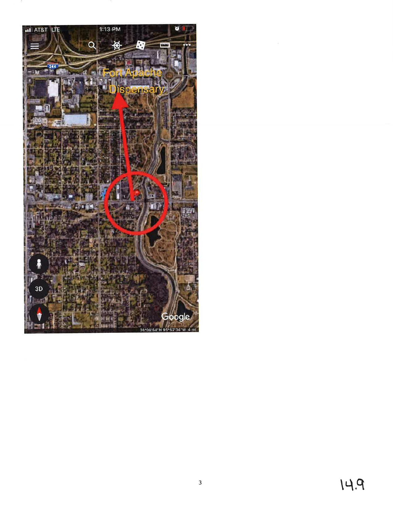